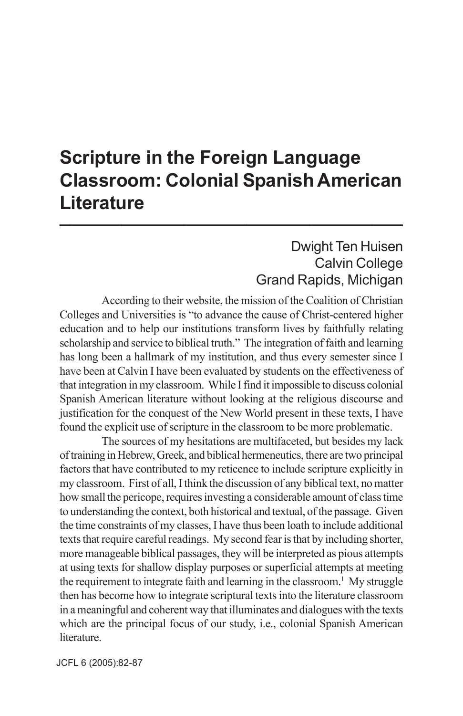## **Scripture in the Foreign Language Classroom: Colonial Spanish American Literature \_\_\_\_\_\_\_\_\_\_\_\_\_\_\_\_\_\_\_\_\_\_\_\_\_\_\_\_\_\_\_\_\_**

## Dwight Ten Huisen Calvin College Grand Rapids, Michigan

According to their website, the mission of the Coalition of Christian Colleges and Universities is "to advance the cause of Christ-centered higher education and to help our institutions transform lives by faithfully relating scholarship and service to biblical truth." The integration of faith and learning has long been a hallmark of my institution, and thus every semester since I have been at Calvin I have been evaluated by students on the effectiveness of that integration in my classroom. While I find it impossible to discuss colonial Spanish American literature without looking at the religious discourse and justification for the conquest of the New World present in these texts, I have found the explicit use of scripture in the classroom to be more problematic.

The sources of my hesitations are multifaceted, but besides my lack of training in Hebrew, Greek, and biblical hermeneutics, there are two principal factors that have contributed to my reticence to include scripture explicitly in my classroom. First of all, I think the discussion of any biblical text, no matter how small the pericope, requires investing a considerable amount of class time to understanding the context, both historical and textual, of the passage. Given the time constraints of my classes, I have thus been loath to include additional texts that require careful readings. My second fear is that by including shorter, more manageable biblical passages, they will be interpreted as pious attempts at using texts for shallow display purposes or superficial attempts at meeting the requirement to integrate faith and learning in the classroom.<sup>1</sup> My struggle then has become how to integrate scriptural texts into the literature classroom in a meaningful and coherent way that illuminates and dialogues with the texts which are the principal focus of our study, i.e., colonial Spanish American literature.

JCFL 6 (2005): 82-87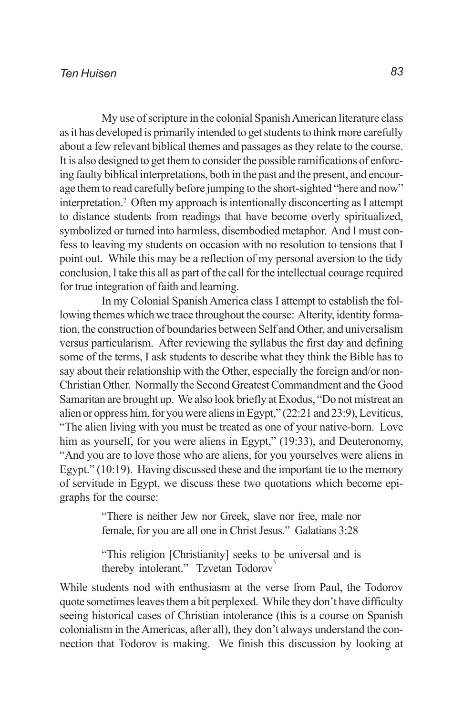My use of scripture in the colonial Spanish American literature class as it has developed is primarily intended to get students to think more carefully about a few relevant biblical themes and passages as they relate to the course. It is also designed to get them to consider the possible ramifications of enforcing faulty biblical interpretations, both in the past and the present, and encourage them to read carefully before jumping to the short-sighted "here and now" interpretation.2 Often my approach is intentionally disconcerting as I attempt to distance students from readings that have become overly spiritualized, symbolized or turned into harmless, disembodied metaphor. And I must confess to leaving my students on occasion with no resolution to tensions that I point out. While this may be a reflection of my personal aversion to the tidy conclusion, I take this all as part of the call for the intellectual courage required for true integration of faith and learning.

In my Colonial Spanish America class I attempt to establish the following themes which we trace throughout the course: Alterity, identity formation, the construction of boundaries between Self and Other, and universalism versus particularism. After reviewing the syllabus the first day and defining some of the terms, I ask students to describe what they think the Bible has to say about their relationship with the Other, especially the foreign and/or non-Christian Other. Normally the Second Greatest Commandment and the Good Samaritan are brought up. We also look briefly at Exodus, "Do not mistreat an alien or oppress him, for you were aliens in Egypt," (22:21 and 23:9), Leviticus, "The alien living with you must be treated as one of your native-born. Love him as yourself, for you were aliens in Egypt," (19:33), and Deuteronomy, "And you are to love those who are aliens, for you yourselves were aliens in Egypt." (10:19). Having discussed these and the important tie to the memory of servitude in Egypt, we discuss these two quotations which become epigraphs for the course:

> "There is neither Jew nor Greek, slave nor free, male nor female, for you are all one in Christ Jesus." Galatians 3:28

> "This religion [Christianity] seeks to be universal and is thereby intolerant." Tzvetan Todorov<sup>3</sup>

While students nod with enthusiasm at the verse from Paul, the Todorov quote sometimes leaves them a bit perplexed. While they don't have difficulty seeing historical cases of Christian intolerance (this is a course on Spanish colonialism in the Americas, after all), they don't always understand the connection that Todorov is making. We finish this discussion by looking at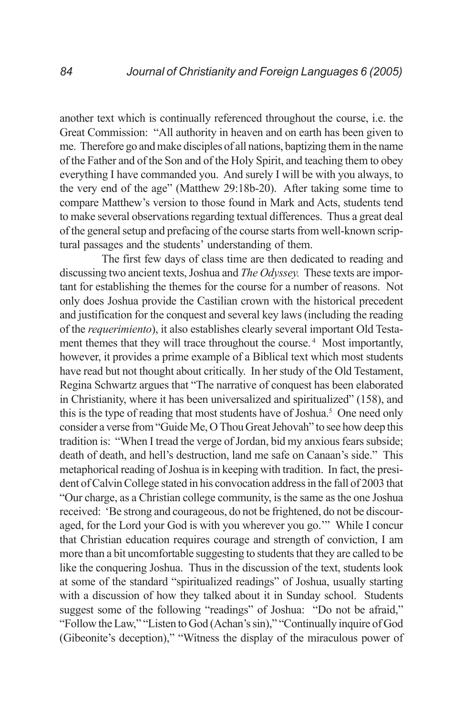another text which is continually referenced throughout the course, i.e. the Great Commission: "All authority in heaven and on earth has been given to me. Therefore go and make disciples of all nations, baptizing them in the name of the Father and of the Son and of the Holy Spirit, and teaching them to obey everything I have commanded you. And surely I will be with you always, to the very end of the age" (Matthew 29:18b-20). After taking some time to compare Matthew's version to those found in Mark and Acts, students tend to make several observations regarding textual differences. Thus a great deal of the general setup and prefacing of the course starts from well-known scriptural passages and the students' understanding of them.

The first few days of class time are then dedicated to reading and discussing two ancient texts, Joshua and *The Odyssey.* These texts are important for establishing the themes for the course for a number of reasons. Not only does Joshua provide the Castilian crown with the historical precedent and justification for the conquest and several key laws (including the reading of the *requerimiento*), it also establishes clearly several important Old Testament themes that they will trace throughout the course.<sup>4</sup> Most importantly, however, it provides a prime example of a Biblical text which most students have read but not thought about critically. In her study of the Old Testament, Regina Schwartz argues that "The narrative of conquest has been elaborated in Christianity, where it has been universalized and spiritualized" (158), and this is the type of reading that most students have of Joshua.<sup>5</sup> One need only consider a verse from "Guide Me, O Thou Great Jehovah" to see how deep this tradition is: "When I tread the verge of Jordan, bid my anxious fears subside; death of death, and hell's destruction, land me safe on Canaan's side." This metaphorical reading of Joshua is in keeping with tradition. In fact, the president of Calvin College stated in his convocation address in the fall of 2003 that "Our charge, as a Christian college community, is the same as the one Joshua received: 'Be strong and courageous, do not be frightened, do not be discouraged, for the Lord your God is with you wherever you go.'" While I concur that Christian education requires courage and strength of conviction, I am more than a bit uncomfortable suggesting to students that they are called to be like the conquering Joshua. Thus in the discussion of the text, students look at some of the standard "spiritualized readings" of Joshua, usually starting with a discussion of how they talked about it in Sunday school. Students suggest some of the following "readings" of Joshua: "Do not be afraid," "Follow the Law," "Listen to God (Achan's sin)," "Continually inquire of God (Gibeonite's deception)," "Witness the display of the miraculous power of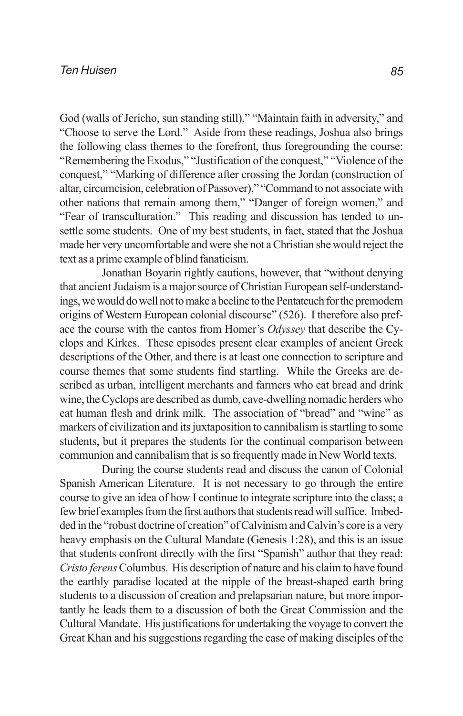God (walls of Jericho, sun standing still)," "Maintain faith in adversity," and "Choose to serve the Lord." Aside from these readings, Joshua also brings the following class themes to the forefront, thus foregrounding the course: "Remembering the Exodus," "Justification of the conquest," "Violence of the conquest," "Marking of difference after crossing the Jordan (construction of altar, circumcision, celebration of Passover)," "Command to not associate with other nations that remain among them," "Danger of foreign women," and "Fear of transculturation." This reading and discussion has tended to unsettle some students. One of my best students, in fact, stated that the Joshua made her very uncomfortable and were she not a Christian she would reject the text as a prime example of blind fanaticism.

Jonathan Boyarin rightly cautions, however, that "without denying that ancient Judaism is a major source of Christian European self-understandings, we would do well not to make a beeline to the Pentateuch for the premodern origins of Western European colonial discourse" (526). I therefore also preface the course with the cantos from Homer's *Odyssey* that describe the Cyclops and Kirkes. These episodes present clear examples of ancient Greek descriptions of the Other, and there is at least one connection to scripture and course themes that some students find startling. While the Greeks are described as urban, intelligent merchants and farmers who eat bread and drink wine, the Cyclops are described as dumb, cave-dwelling nomadic herders who eat human flesh and drink milk. The association of "bread" and "wine" as markers of civilization and its juxtaposition to cannibalism is startling to some students, but it prepares the students for the continual comparison between communion and cannibalism that is so frequently made in New World texts.

During the course students read and discuss the canon of Colonial Spanish American Literature. It is not necessary to go through the entire course to give an idea of how I continue to integrate scripture into the class; a few brief examples from the first authors that students read will suffice. Imbedded in the "robust doctrine of creation" of Calvinism and Calvin's core is a very heavy emphasis on the Cultural Mandate (Genesis 1:28), and this is an issue that students confront directly with the first "Spanish" author that they read: *Cristo ferens* Columbus. His description of nature and his claim to have found the earthly paradise located at the nipple of the breast-shaped earth bring students to a discussion of creation and prelapsarian nature, but more importantly he leads them to a discussion of both the Great Commission and the Cultural Mandate. His justifications for undertaking the voyage to convert the Great Khan and his suggestions regarding the ease of making disciples of the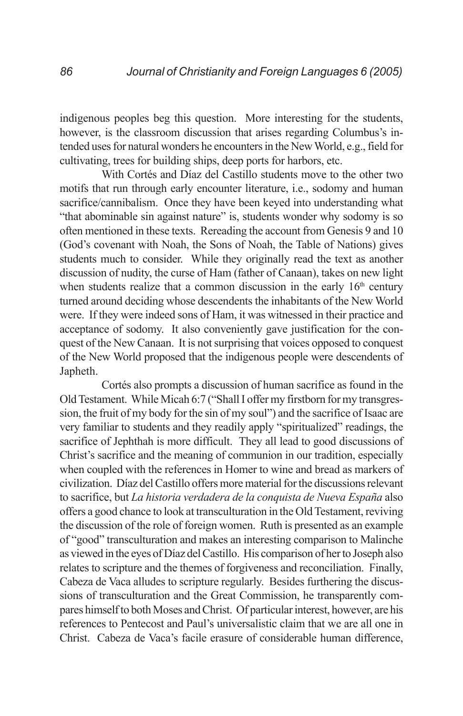indigenous peoples beg this question. More interesting for the students, however, is the classroom discussion that arises regarding Columbus's intended uses for natural wonders he encounters in the New World, e.g., field for cultivating, trees for building ships, deep ports for harbors, etc.

With Cortés and Díaz del Castillo students move to the other two motifs that run through early encounter literature, i.e., sodomy and human sacrifice/cannibalism. Once they have been keyed into understanding what "that abominable sin against nature" is, students wonder why sodomy is so often mentioned in these texts. Rereading the account from Genesis 9 and 10 (God's covenant with Noah, the Sons of Noah, the Table of Nations) gives students much to consider. While they originally read the text as another discussion of nudity, the curse of Ham (father of Canaan), takes on new light when students realize that a common discussion in the early  $16<sup>th</sup>$  century turned around deciding whose descendents the inhabitants of the New World were. If they were indeed sons of Ham, it was witnessed in their practice and acceptance of sodomy. It also conveniently gave justification for the conquest of the New Canaan. It is not surprising that voices opposed to conquest of the New World proposed that the indigenous people were descendents of Japheth.

Cortés also prompts a discussion of human sacrifice as found in the Old Testament. While Micah 6:7 ("Shall I offer my firstborn for my transgression, the fruit of my body for the sin of my soul") and the sacrifice of Isaac are very familiar to students and they readily apply "spiritualized" readings, the sacrifice of Jephthah is more difficult. They all lead to good discussions of Christ's sacrifice and the meaning of communion in our tradition, especially when coupled with the references in Homer to wine and bread as markers of civilization. Díaz del Castillo offers more material for the discussions relevant to sacrifice, but *La historia verdadera de la conquista de Nueva España* also offers a good chance to look at transculturation in the Old Testament, reviving the discussion of the role of foreign women. Ruth is presented as an example of "good" transculturation and makes an interesting comparison to Malinche as viewed in the eyes of Díaz del Castillo. His comparison of her to Joseph also relates to scripture and the themes of forgiveness and reconciliation. Finally, Cabeza de Vaca alludes to scripture regularly. Besides furthering the discussions of transculturation and the Great Commission, he transparently compares himself to both Moses and Christ. Of particular interest, however, are his references to Pentecost and Paul's universalistic claim that we are all one in Christ. Cabeza de Vaca's facile erasure of considerable human difference,